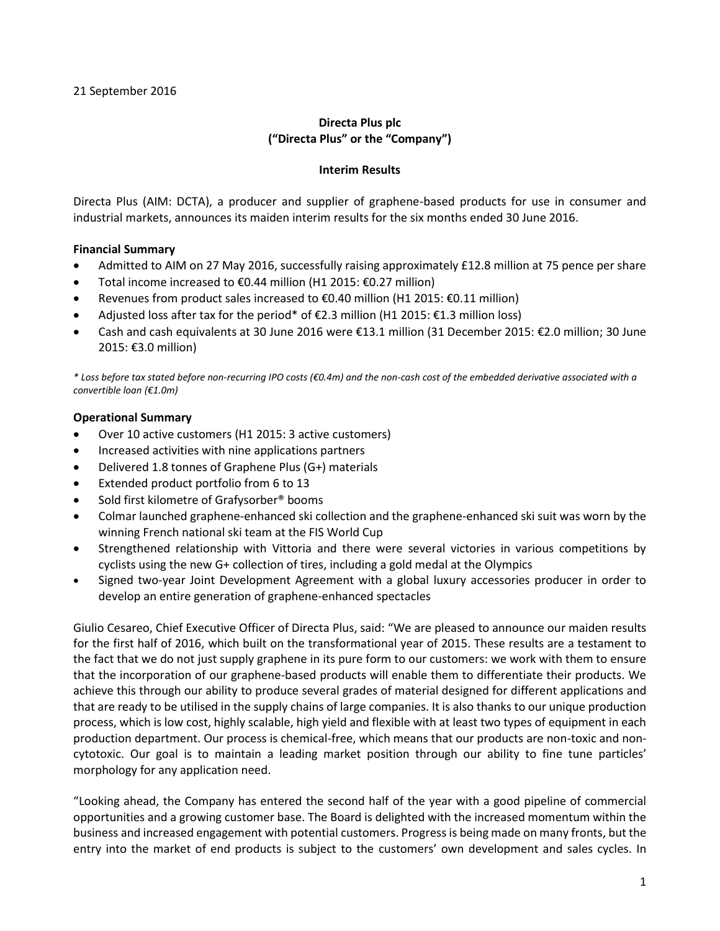# **Directa Plus plc ("Directa Plus" or the "Company")**

#### **Interim Results**

Directa Plus (AIM: DCTA), a producer and supplier of graphene-based products for use in consumer and industrial markets, announces its maiden interim results for the six months ended 30 June 2016.

#### **Financial Summary**

- Admitted to AIM on 27 May 2016, successfully raising approximately £12.8 million at 75 pence per share
- Total income increased to €0.44 million (H1 2015: €0.27 million)
- Revenues from product sales increased to €0.40 million (H1 2015: €0.11 million)
- Adjusted loss after tax for the period\* of  $\epsilon$ 2.3 million (H1 2015:  $\epsilon$ 1.3 million loss)
- Cash and cash equivalents at 30 June 2016 were €13.1 million (31 December 2015: €2.0 million; 30 June 2015: €3.0 million)

*\* Loss before tax stated before non-recurring IPO costs (€0.4m) and the non-cash cost of the embedded derivative associated with a convertible loan (€1.0m)* 

#### **Operational Summary**

- Over 10 active customers (H1 2015: 3 active customers)
- Increased activities with nine applications partners
- Delivered 1.8 tonnes of Graphene Plus (G+) materials
- Extended product portfolio from 6 to 13
- Sold first kilometre of Grafysorber® booms
- Colmar launched graphene-enhanced ski collection and the graphene-enhanced ski suit was worn by the winning French national ski team at the FIS World Cup
- Strengthened relationship with Vittoria and there were several victories in various competitions by cyclists using the new G+ collection of tires, including a gold medal at the Olympics
- Signed two-year Joint Development Agreement with a global luxury accessories producer in order to develop an entire generation of graphene-enhanced spectacles

Giulio Cesareo, Chief Executive Officer of Directa Plus, said: "We are pleased to announce our maiden results for the first half of 2016, which built on the transformational year of 2015. These results are a testament to the fact that we do not just supply graphene in its pure form to our customers: we work with them to ensure that the incorporation of our graphene-based products will enable them to differentiate their products. We achieve this through our ability to produce several grades of material designed for different applications and that are ready to be utilised in the supply chains of large companies. It is also thanks to our unique production process, which is low cost, highly scalable, high yield and flexible with at least two types of equipment in each production department. Our process is chemical-free, which means that our products are non-toxic and noncytotoxic. Our goal is to maintain a leading market position through our ability to fine tune particles' morphology for any application need.

"Looking ahead, the Company has entered the second half of the year with a good pipeline of commercial opportunities and a growing customer base. The Board is delighted with the increased momentum within the business and increased engagement with potential customers. Progress is being made on many fronts, but the entry into the market of end products is subject to the customers' own development and sales cycles. In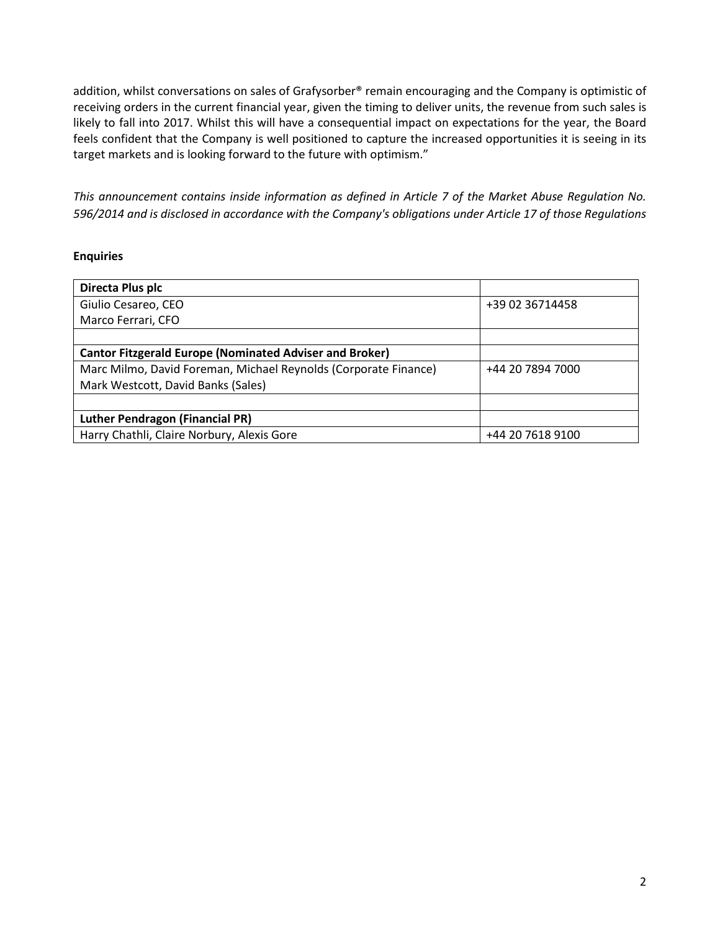addition, whilst conversations on sales of Grafysorber® remain encouraging and the Company is optimistic of receiving orders in the current financial year, given the timing to deliver units, the revenue from such sales is likely to fall into 2017. Whilst this will have a consequential impact on expectations for the year, the Board feels confident that the Company is well positioned to capture the increased opportunities it is seeing in its target markets and is looking forward to the future with optimism."

*This announcement contains inside information as defined in Article 7 of the Market Abuse Regulation No. 596/2014 and is disclosed in accordance with the Company's obligations under Article 17 of those Regulations*

#### **Enquiries**

| Directa Plus plc                                                |                  |
|-----------------------------------------------------------------|------------------|
| Giulio Cesareo, CEO                                             | +39 02 36714458  |
| Marco Ferrari, CFO                                              |                  |
|                                                                 |                  |
| <b>Cantor Fitzgerald Europe (Nominated Adviser and Broker)</b>  |                  |
| Marc Milmo, David Foreman, Michael Reynolds (Corporate Finance) | +44 20 7894 7000 |
| Mark Westcott, David Banks (Sales)                              |                  |
|                                                                 |                  |
| <b>Luther Pendragon (Financial PR)</b>                          |                  |
| Harry Chathli, Claire Norbury, Alexis Gore                      | +44 20 7618 9100 |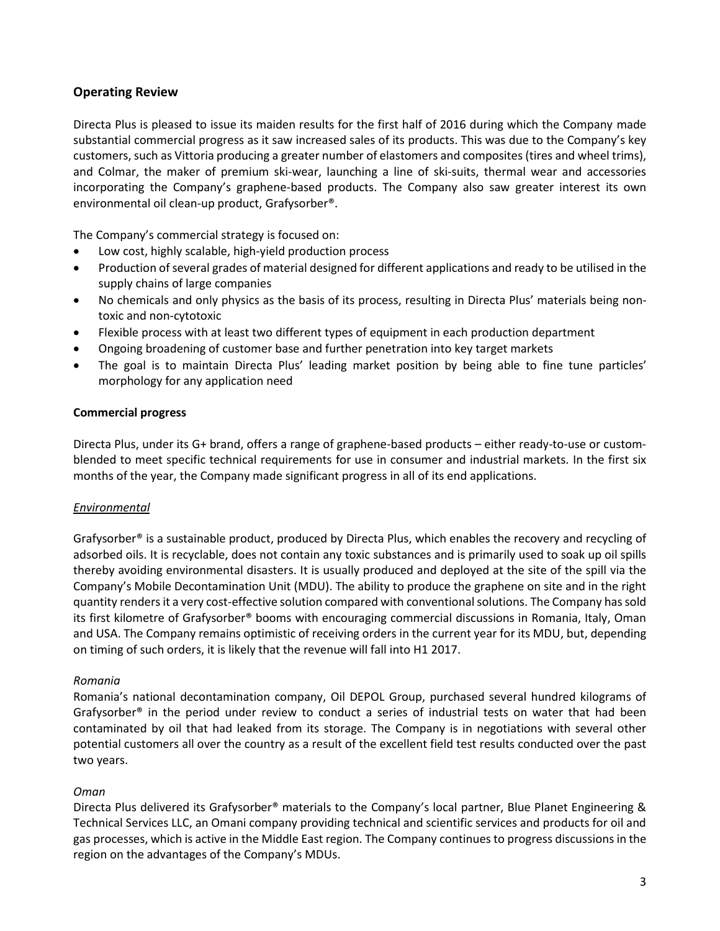# **Operating Review**

Directa Plus is pleased to issue its maiden results for the first half of 2016 during which the Company made substantial commercial progress as it saw increased sales of its products. This was due to the Company's key customers, such as Vittoria producing a greater number of elastomers and composites (tires and wheel trims), and Colmar, the maker of premium ski-wear, launching a line of ski-suits, thermal wear and accessories incorporating the Company's graphene-based products. The Company also saw greater interest its own environmental oil clean-up product, Grafysorber®.

The Company's commercial strategy is focused on:

- Low cost, highly scalable, high-yield production process
- Production of several grades of material designed for different applications and ready to be utilised in the supply chains of large companies
- No chemicals and only physics as the basis of its process, resulting in Directa Plus' materials being nontoxic and non-cytotoxic
- Flexible process with at least two different types of equipment in each production department
- Ongoing broadening of customer base and further penetration into key target markets
- The goal is to maintain Directa Plus' leading market position by being able to fine tune particles' morphology for any application need

#### **Commercial progress**

Directa Plus, under its G+ brand, offers a range of graphene-based products – either ready-to-use or customblended to meet specific technical requirements for use in consumer and industrial markets. In the first six months of the year, the Company made significant progress in all of its end applications.

#### *Environmental*

Grafysorber® is a sustainable product, produced by Directa Plus, which enables the recovery and recycling of adsorbed oils. It is recyclable, does not contain any toxic substances and is primarily used to soak up oil spills thereby avoiding environmental disasters. It is usually produced and deployed at the site of the spill via the Company's Mobile Decontamination Unit (MDU). The ability to produce the graphene on site and in the right quantity renders it a very cost-effective solution compared with conventional solutions. The Company has sold its first kilometre of Grafysorber® booms with encouraging commercial discussions in Romania, Italy, Oman and USA. The Company remains optimistic of receiving orders in the current year for its MDU, but, depending on timing of such orders, it is likely that the revenue will fall into H1 2017.

#### *Romania*

Romania's national decontamination company, Oil DEPOL Group, purchased several hundred kilograms of Grafysorber® in the period under review to conduct a series of industrial tests on water that had been contaminated by oil that had leaked from its storage. The Company is in negotiations with several other potential customers all over the country as a result of the excellent field test results conducted over the past two years.

#### *Oman*

Directa Plus delivered its Grafysorber® materials to the Company's local partner, Blue Planet Engineering & Technical Services LLC, an Omani company providing technical and scientific services and products for oil and gas processes, which is active in the Middle East region. The Company continues to progress discussions in the region on the advantages of the Company's MDUs.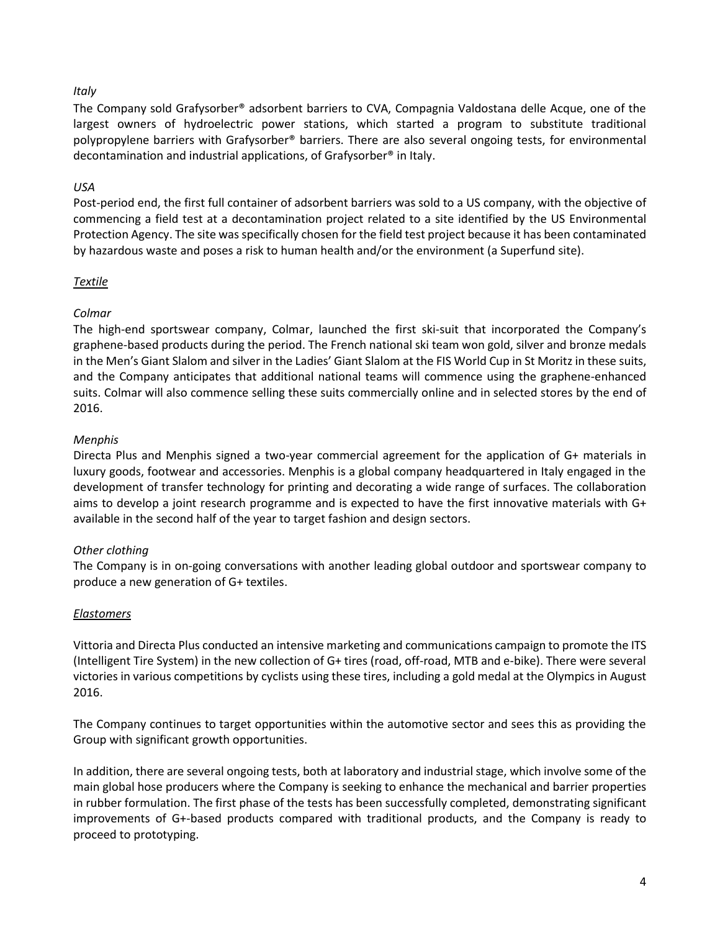## *Italy*

The Company sold Grafysorber® adsorbent barriers to CVA, Compagnia Valdostana delle Acque, one of the largest owners of hydroelectric power stations, which started a program to substitute traditional polypropylene barriers with Grafysorber® barriers. There are also several ongoing tests, for environmental decontamination and industrial applications, of Grafysorber® in Italy.

## *USA*

Post-period end, the first full container of adsorbent barriers was sold to a US company, with the objective of commencing a field test at a decontamination project related to a site identified by the US Environmental Protection Agency. The site was specifically chosen for the field test project because it has been contaminated by hazardous waste and poses a risk to human health and/or the environment (a Superfund site).

## *Textile*

# *Colmar*

The high-end sportswear company, Colmar, launched the first ski-suit that incorporated the Company's graphene-based products during the period. The French national ski team won gold, silver and bronze medals in the Men's Giant Slalom and silver in the Ladies' Giant Slalom at the FIS World Cup in St Moritz in these suits, and the Company anticipates that additional national teams will commence using the graphene-enhanced suits. Colmar will also commence selling these suits commercially online and in selected stores by the end of 2016.

## *Menphis*

Directa Plus and Menphis signed a two-year commercial agreement for the application of G+ materials in luxury goods, footwear and accessories. Menphis is a global company headquartered in Italy engaged in the development of transfer technology for printing and decorating a wide range of surfaces. The collaboration aims to develop a joint research programme and is expected to have the first innovative materials with G+ available in the second half of the year to target fashion and design sectors.

# *Other clothing*

The Company is in on-going conversations with another leading global outdoor and sportswear company to produce a new generation of G+ textiles.

# *Elastomers*

Vittoria and Directa Plus conducted an intensive marketing and communications campaign to promote the ITS (Intelligent Tire System) in the new collection of G+ tires (road, off-road, MTB and e-bike). There were several victories in various competitions by cyclists using these tires, including a gold medal at the Olympics in August 2016.

The Company continues to target opportunities within the automotive sector and sees this as providing the Group with significant growth opportunities.

In addition, there are several ongoing tests, both at laboratory and industrial stage, which involve some of the main global hose producers where the Company is seeking to enhance the mechanical and barrier properties in rubber formulation. The first phase of the tests has been successfully completed, demonstrating significant improvements of G+-based products compared with traditional products, and the Company is ready to proceed to prototyping.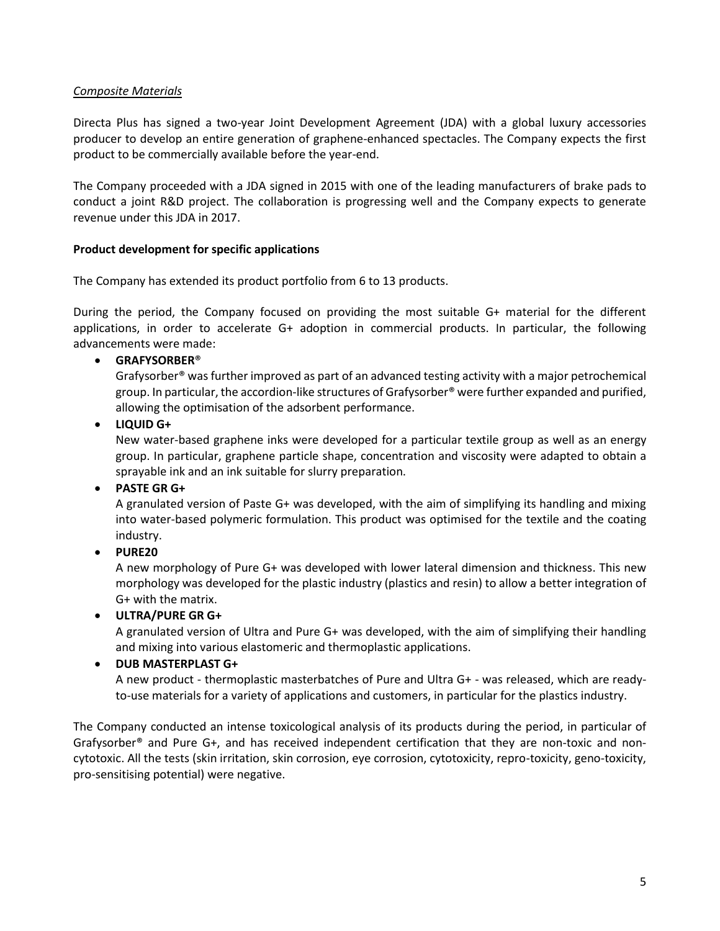## *Composite Materials*

Directa Plus has signed a two-year Joint Development Agreement (JDA) with a global luxury accessories producer to develop an entire generation of graphene-enhanced spectacles. The Company expects the first product to be commercially available before the year-end.

The Company proceeded with a JDA signed in 2015 with one of the leading manufacturers of brake pads to conduct a joint R&D project. The collaboration is progressing well and the Company expects to generate revenue under this JDA in 2017.

## **Product development for specific applications**

The Company has extended its product portfolio from 6 to 13 products.

During the period, the Company focused on providing the most suitable G+ material for the different applications, in order to accelerate G+ adoption in commercial products. In particular, the following advancements were made:

## **GRAFYSORBER**®

Grafysorber® was further improved as part of an advanced testing activity with a major petrochemical group. In particular, the accordion-like structures of Grafysorber® were further expanded and purified, allowing the optimisation of the adsorbent performance.

## **LIQUID G+**

New water-based graphene inks were developed for a particular textile group as well as an energy group. In particular, graphene particle shape, concentration and viscosity were adapted to obtain a sprayable ink and an ink suitable for slurry preparation.

#### **PASTE GR G+**

A granulated version of Paste G+ was developed, with the aim of simplifying its handling and mixing into water-based polymeric formulation. This product was optimised for the textile and the coating industry.

# **PURE20**

A new morphology of Pure G+ was developed with lower lateral dimension and thickness. This new morphology was developed for the plastic industry (plastics and resin) to allow a better integration of G+ with the matrix.

# **ULTRA/PURE GR G+**

A granulated version of Ultra and Pure G+ was developed, with the aim of simplifying their handling and mixing into various elastomeric and thermoplastic applications.

# **DUB MASTERPLAST G+**

A new product - thermoplastic masterbatches of Pure and Ultra G+ - was released, which are readyto-use materials for a variety of applications and customers, in particular for the plastics industry.

The Company conducted an intense toxicological analysis of its products during the period, in particular of Grafysorber® and Pure G+, and has received independent certification that they are non-toxic and noncytotoxic. All the tests (skin irritation, skin corrosion, eye corrosion, cytotoxicity, repro-toxicity, geno-toxicity, pro-sensitising potential) were negative.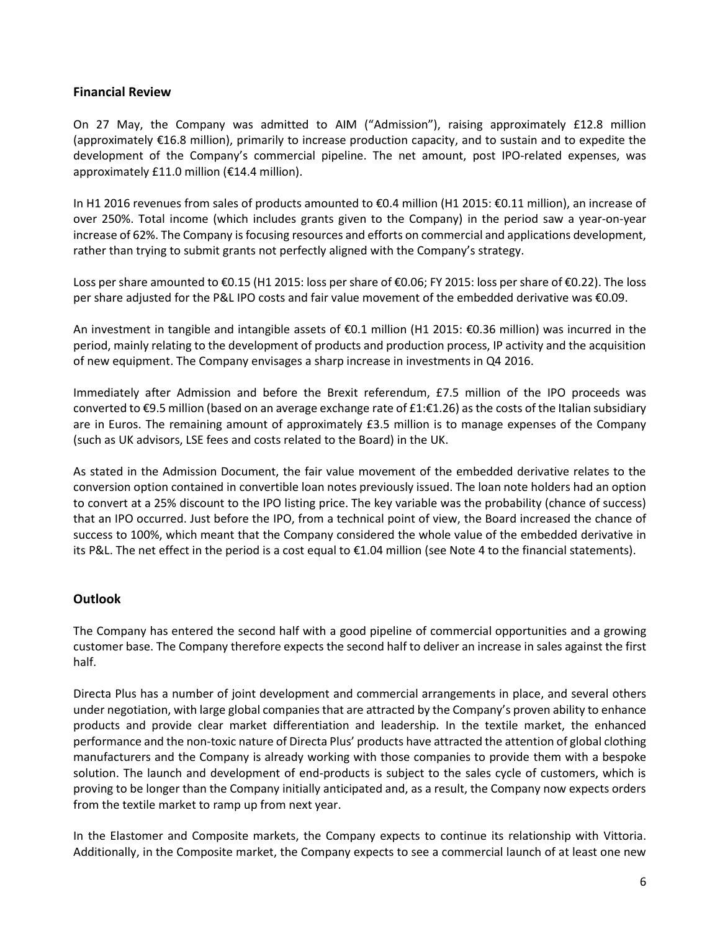## **Financial Review**

On 27 May, the Company was admitted to AIM ("Admission"), raising approximately £12.8 million (approximately €16.8 million), primarily to increase production capacity, and to sustain and to expedite the development of the Company's commercial pipeline. The net amount, post IPO-related expenses, was approximately £11.0 million (€14.4 million).

In H1 2016 revenues from sales of products amounted to €0.4 million (H1 2015: €0.11 million), an increase of over 250%. Total income (which includes grants given to the Company) in the period saw a year-on-year increase of 62%. The Company is focusing resources and efforts on commercial and applications development, rather than trying to submit grants not perfectly aligned with the Company's strategy.

Loss per share amounted to €0.15 (H1 2015: loss per share of €0.06; FY 2015: loss per share of €0.22). The loss per share adjusted for the P&L IPO costs and fair value movement of the embedded derivative was €0.09.

An investment in tangible and intangible assets of €0.1 million (H1 2015: €0.36 million) was incurred in the period, mainly relating to the development of products and production process, IP activity and the acquisition of new equipment. The Company envisages a sharp increase in investments in Q4 2016.

Immediately after Admission and before the Brexit referendum, £7.5 million of the IPO proceeds was converted to €9.5 million (based on an average exchange rate of £1:€1.26) as the costs of the Italian subsidiary are in Euros. The remaining amount of approximately £3.5 million is to manage expenses of the Company (such as UK advisors, LSE fees and costs related to the Board) in the UK.

As stated in the Admission Document, the fair value movement of the embedded derivative relates to the conversion option contained in convertible loan notes previously issued. The loan note holders had an option to convert at a 25% discount to the IPO listing price. The key variable was the probability (chance of success) that an IPO occurred. Just before the IPO, from a technical point of view, the Board increased the chance of success to 100%, which meant that the Company considered the whole value of the embedded derivative in its P&L. The net effect in the period is a cost equal to €1.04 million (see Note 4 to the financial statements).

# **Outlook**

The Company has entered the second half with a good pipeline of commercial opportunities and a growing customer base. The Company therefore expects the second half to deliver an increase in sales against the first half.

Directa Plus has a number of joint development and commercial arrangements in place, and several others under negotiation, with large global companies that are attracted by the Company's proven ability to enhance products and provide clear market differentiation and leadership. In the textile market, the enhanced performance and the non-toxic nature of Directa Plus' products have attracted the attention of global clothing manufacturers and the Company is already working with those companies to provide them with a bespoke solution. The launch and development of end-products is subject to the sales cycle of customers, which is proving to be longer than the Company initially anticipated and, as a result, the Company now expects orders from the textile market to ramp up from next year.

In the Elastomer and Composite markets, the Company expects to continue its relationship with Vittoria. Additionally, in the Composite market, the Company expects to see a commercial launch of at least one new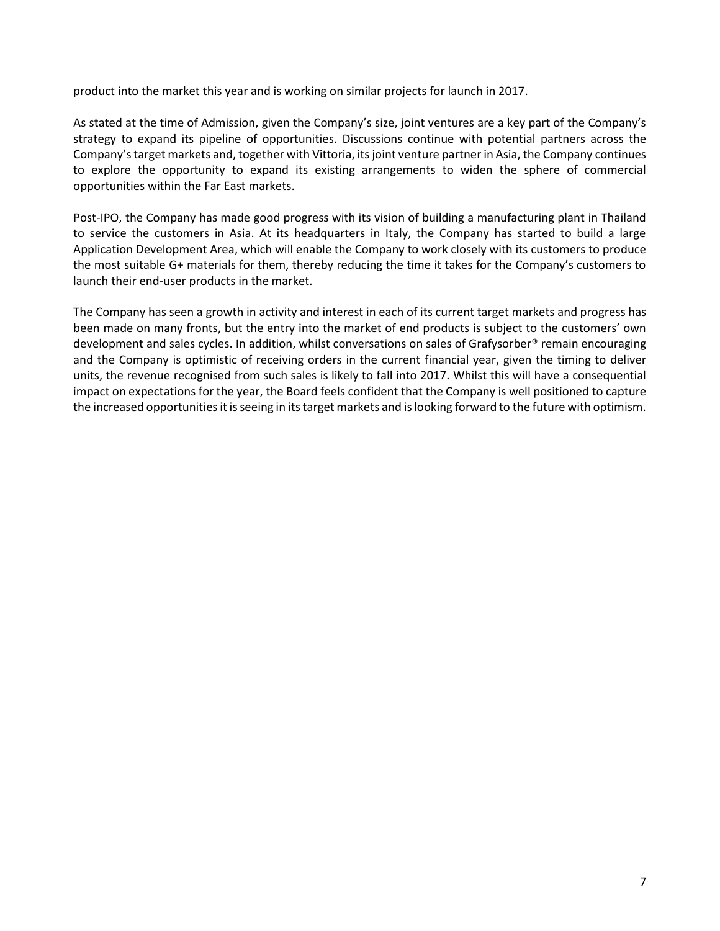product into the market this year and is working on similar projects for launch in 2017.

As stated at the time of Admission, given the Company's size, joint ventures are a key part of the Company's strategy to expand its pipeline of opportunities. Discussions continue with potential partners across the Company's target markets and, together with Vittoria, its joint venture partner in Asia, the Company continues to explore the opportunity to expand its existing arrangements to widen the sphere of commercial opportunities within the Far East markets.

Post-IPO, the Company has made good progress with its vision of building a manufacturing plant in Thailand to service the customers in Asia. At its headquarters in Italy, the Company has started to build a large Application Development Area, which will enable the Company to work closely with its customers to produce the most suitable G+ materials for them, thereby reducing the time it takes for the Company's customers to launch their end-user products in the market.

The Company has seen a growth in activity and interest in each of its current target markets and progress has been made on many fronts, but the entry into the market of end products is subject to the customers' own development and sales cycles. In addition, whilst conversations on sales of Grafysorber® remain encouraging and the Company is optimistic of receiving orders in the current financial year, given the timing to deliver units, the revenue recognised from such sales is likely to fall into 2017. Whilst this will have a consequential impact on expectations for the year, the Board feels confident that the Company is well positioned to capture the increased opportunities it is seeing in its target markets and is looking forward to the future with optimism.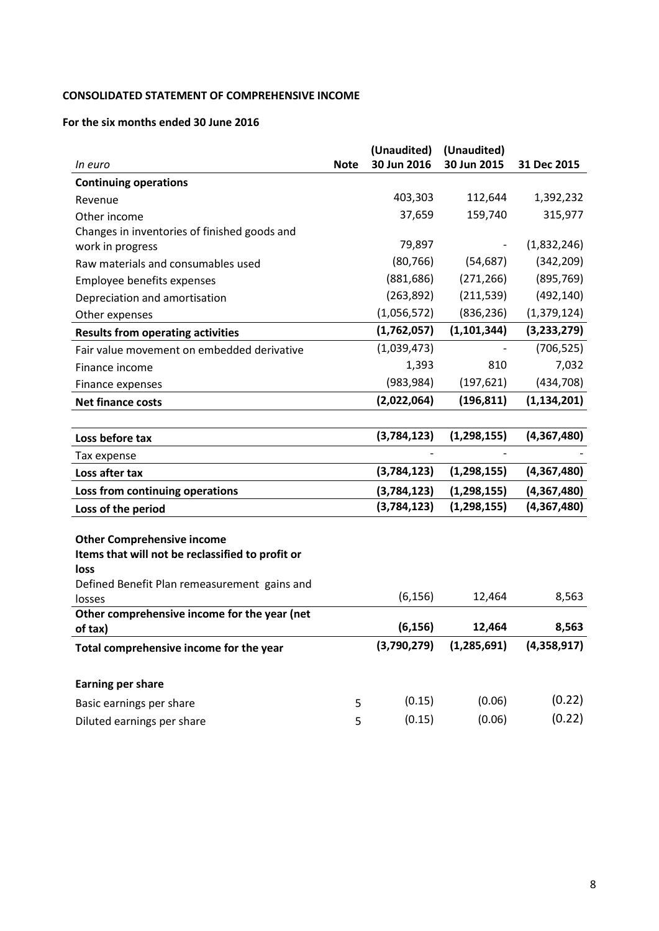# **CONSOLIDATED STATEMENT OF COMPREHENSIVE INCOME**

## **For the six months ended 30 June 2016**

|                                                          | (Unaudited) |             | (Unaudited)   |               |
|----------------------------------------------------------|-------------|-------------|---------------|---------------|
| In euro                                                  | <b>Note</b> | 30 Jun 2016 | 30 Jun 2015   | 31 Dec 2015   |
| <b>Continuing operations</b>                             |             |             |               |               |
| Revenue                                                  |             | 403,303     | 112,644       | 1,392,232     |
| Other income                                             |             | 37,659      | 159,740       | 315,977       |
| Changes in inventories of finished goods and             |             |             |               |               |
| work in progress                                         |             | 79,897      |               | (1,832,246)   |
| Raw materials and consumables used                       |             | (80, 766)   | (54, 687)     | (342, 209)    |
| Employee benefits expenses                               |             | (881, 686)  | (271, 266)    | (895, 769)    |
| Depreciation and amortisation                            |             | (263, 892)  | (211, 539)    | (492, 140)    |
| Other expenses                                           |             | (1,056,572) | (836, 236)    | (1, 379, 124) |
| <b>Results from operating activities</b>                 |             | (1,762,057) | (1, 101, 344) | (3, 233, 279) |
| Fair value movement on embedded derivative               |             | (1,039,473) |               | (706, 525)    |
| Finance income                                           |             | 1,393       | 810           | 7,032         |
| Finance expenses                                         |             | (983, 984)  | (197, 621)    | (434, 708)    |
| <b>Net finance costs</b>                                 |             | (2,022,064) | (196, 811)    | (1, 134, 201) |
|                                                          |             |             |               |               |
| Loss before tax                                          |             | (3,784,123) | (1, 298, 155) | (4,367,480)   |
| Tax expense                                              |             |             |               |               |
| Loss after tax                                           |             | (3,784,123) | (1, 298, 155) | (4,367,480)   |
| Loss from continuing operations                          |             | (3,784,123) | (1, 298, 155) | (4,367,480)   |
| Loss of the period                                       |             | (3,784,123) | (1, 298, 155) | (4,367,480)   |
|                                                          |             |             |               |               |
| <b>Other Comprehensive income</b>                        |             |             |               |               |
| Items that will not be reclassified to profit or<br>loss |             |             |               |               |
| Defined Benefit Plan remeasurement gains and             |             |             |               |               |
| losses                                                   |             | (6, 156)    | 12,464        | 8,563         |
| Other comprehensive income for the year (net             |             |             |               |               |
| of tax)                                                  |             | (6, 156)    | 12,464        | 8,563         |
| Total comprehensive income for the year                  |             | (3,790,279) | (1, 285, 691) | (4,358,917)   |
|                                                          |             |             |               |               |
| <b>Earning per share</b>                                 |             |             |               |               |
| Basic earnings per share                                 | 5           | (0.15)      | (0.06)        | (0.22)        |
| Diluted earnings per share                               | 5           | (0.15)      | (0.06)        | (0.22)        |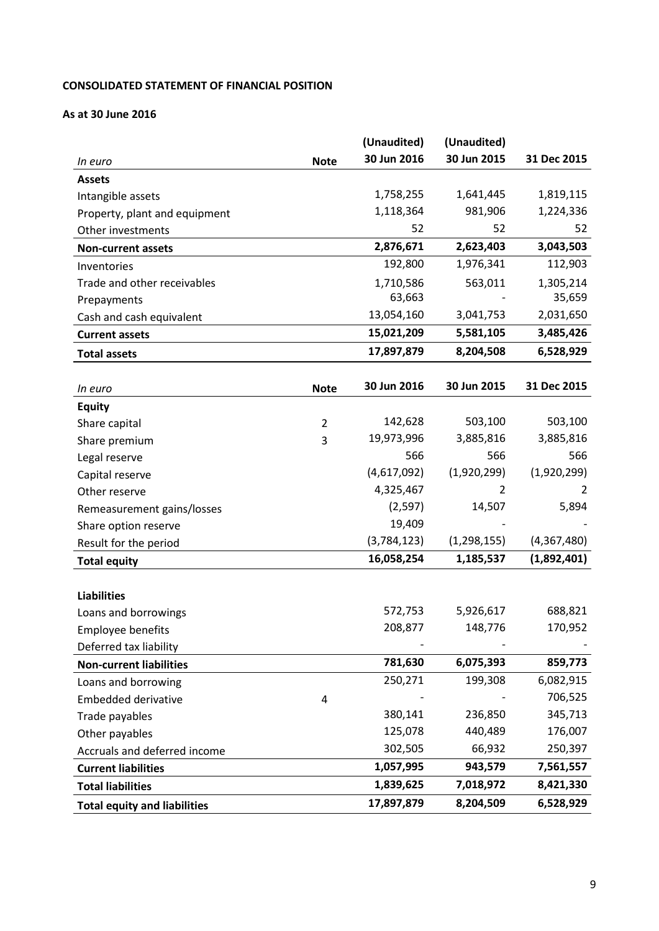# **CONSOLIDATED STATEMENT OF FINANCIAL POSITION**

## **As at 30 June 2016**

|                               |             | (Unaudited) | (Unaudited) |             |
|-------------------------------|-------------|-------------|-------------|-------------|
| In euro                       | <b>Note</b> | 30 Jun 2016 | 30 Jun 2015 | 31 Dec 2015 |
| <b>Assets</b>                 |             |             |             |             |
| Intangible assets             |             | 1,758,255   | 1,641,445   | 1,819,115   |
| Property, plant and equipment |             | 1,118,364   | 981,906     | 1,224,336   |
| Other investments             |             | 52          | 52          | 52          |
| <b>Non-current assets</b>     |             | 2,876,671   | 2,623,403   | 3,043,503   |
| Inventories                   |             | 192,800     | 1,976,341   | 112,903     |
| Trade and other receivables   |             | 1,710,586   | 563,011     | 1,305,214   |
| Prepayments                   |             | 63,663      |             | 35,659      |
| Cash and cash equivalent      |             | 13,054,160  | 3,041,753   | 2,031,650   |
| <b>Current assets</b>         |             | 15,021,209  | 5,581,105   | 3,485,426   |
| <b>Total assets</b>           |             | 17,897,879  | 8,204,508   | 6,528,929   |
|                               |             |             |             |             |

| In euro                             | <b>Note</b>    | 30 Jun 2016 | 30 Jun 2015   | 31 Dec 2015 |
|-------------------------------------|----------------|-------------|---------------|-------------|
| <b>Equity</b>                       |                |             |               |             |
| Share capital                       | $\overline{2}$ | 142,628     | 503,100       | 503,100     |
| Share premium                       | 3              | 19,973,996  | 3,885,816     | 3,885,816   |
| Legal reserve                       |                | 566         | 566           | 566         |
| Capital reserve                     |                | (4,617,092) | (1,920,299)   | (1,920,299) |
| Other reserve                       |                | 4,325,467   | 2             | 2           |
| Remeasurement gains/losses          |                | (2,597)     | 14,507        | 5,894       |
| Share option reserve                |                | 19,409      |               |             |
| Result for the period               |                | (3,784,123) | (1, 298, 155) | (4,367,480) |
| <b>Total equity</b>                 |                | 16,058,254  | 1,185,537     | (1,892,401) |
|                                     |                |             |               |             |
| <b>Liabilities</b>                  |                |             |               |             |
| Loans and borrowings                |                | 572,753     | 5,926,617     | 688,821     |
| Employee benefits                   |                | 208,877     | 148,776       | 170,952     |
| Deferred tax liability              |                |             |               |             |
| <b>Non-current liabilities</b>      |                | 781,630     | 6,075,393     | 859,773     |
| Loans and borrowing                 |                | 250,271     | 199,308       | 6,082,915   |
| <b>Embedded derivative</b>          | 4              |             |               | 706,525     |
| Trade payables                      |                | 380,141     | 236,850       | 345,713     |
| Other payables                      |                | 125,078     | 440,489       | 176,007     |
| Accruals and deferred income        |                | 302,505     | 66,932        | 250,397     |
| <b>Current liabilities</b>          |                | 1,057,995   | 943,579       | 7,561,557   |
| <b>Total liabilities</b>            |                | 1,839,625   | 7,018,972     | 8,421,330   |
| <b>Total equity and liabilities</b> |                | 17,897,879  | 8,204,509     | 6,528,929   |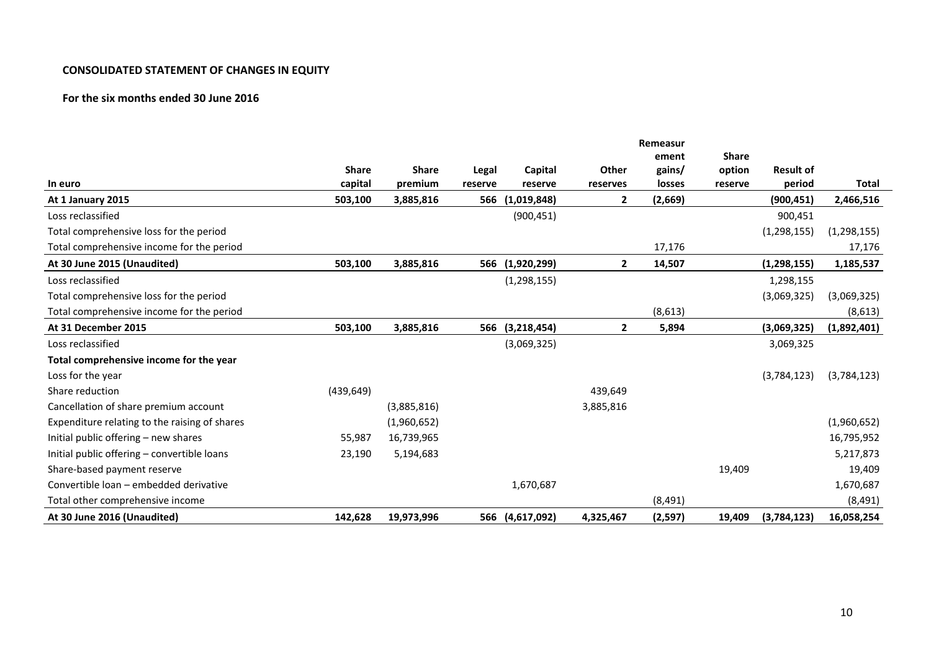#### **CONSOLIDATED STATEMENT OF CHANGES IN EQUITY**

# **For the six months ended 30 June 2016**

|                                               |              |              |         |               |              | Remeasur |              |                  |               |
|-----------------------------------------------|--------------|--------------|---------|---------------|--------------|----------|--------------|------------------|---------------|
|                                               |              |              |         |               |              | ement    | <b>Share</b> |                  |               |
|                                               | <b>Share</b> | <b>Share</b> | Legal   | Capital       | Other        | gains/   | option       | <b>Result of</b> |               |
| In euro                                       | capital      | premium      | reserve | reserve       | reserves     | losses   | reserve      | period           | Total         |
| At 1 January 2015                             | 503,100      | 3,885,816    | 566     | (1,019,848)   | 2            | (2,669)  |              | (900, 451)       | 2,466,516     |
| Loss reclassified                             |              |              |         | (900, 451)    |              |          |              | 900,451          |               |
| Total comprehensive loss for the period       |              |              |         |               |              |          |              | (1, 298, 155)    | (1, 298, 155) |
| Total comprehensive income for the period     |              |              |         |               |              | 17,176   |              |                  | 17,176        |
| At 30 June 2015 (Unaudited)                   | 503,100      | 3,885,816    | 566     | (1,920,299)   | $\mathbf{2}$ | 14,507   |              | (1,298,155)      | 1,185,537     |
| Loss reclassified                             |              |              |         | (1, 298, 155) |              |          |              | 1,298,155        |               |
| Total comprehensive loss for the period       |              |              |         |               |              |          |              | (3,069,325)      | (3,069,325)   |
| Total comprehensive income for the period     |              |              |         |               |              | (8,613)  |              |                  | (8,613)       |
| At 31 December 2015                           | 503,100      | 3,885,816    | 566     | (3,218,454)   | $\mathbf{2}$ | 5,894    |              | (3,069,325)      | (1,892,401)   |
| Loss reclassified                             |              |              |         | (3,069,325)   |              |          |              | 3,069,325        |               |
| Total comprehensive income for the year       |              |              |         |               |              |          |              |                  |               |
| Loss for the year                             |              |              |         |               |              |          |              | (3,784,123)      | (3,784,123)   |
| Share reduction                               | (439, 649)   |              |         |               | 439,649      |          |              |                  |               |
| Cancellation of share premium account         |              | (3,885,816)  |         |               | 3,885,816    |          |              |                  |               |
| Expenditure relating to the raising of shares |              | (1,960,652)  |         |               |              |          |              |                  | (1,960,652)   |
| Initial public offering – new shares          | 55,987       | 16,739,965   |         |               |              |          |              |                  | 16,795,952    |
| Initial public offering – convertible loans   | 23,190       | 5,194,683    |         |               |              |          |              |                  | 5,217,873     |
| Share-based payment reserve                   |              |              |         |               |              |          | 19,409       |                  | 19,409        |
| Convertible loan - embedded derivative        |              |              |         | 1,670,687     |              |          |              |                  | 1,670,687     |
| Total other comprehensive income              |              |              |         |               |              | (8, 491) |              |                  | (8, 491)      |
| At 30 June 2016 (Unaudited)                   | 142,628      | 19,973,996   | 566     | (4,617,092)   | 4,325,467    | (2, 597) | 19,409       | (3,784,123)      | 16,058,254    |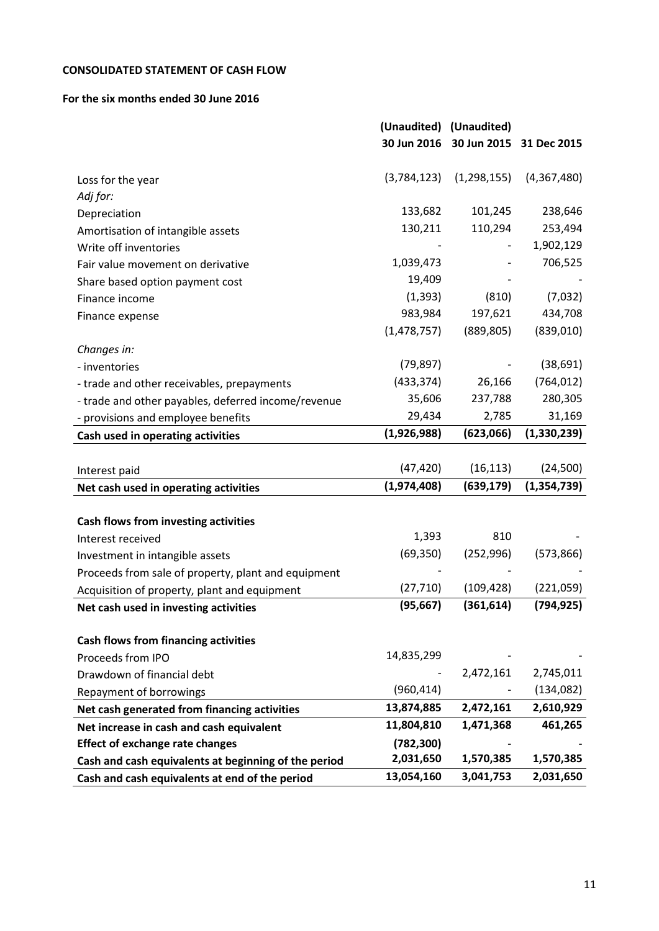# **CONSOLIDATED STATEMENT OF CASH FLOW**

## **For the six months ended 30 June 2016**

|                                                      | (Unaudited) (Unaudited) |               |               |
|------------------------------------------------------|-------------------------|---------------|---------------|
|                                                      | 30 Jun 2016             | 30 Jun 2015   | 31 Dec 2015   |
|                                                      |                         |               |               |
| Loss for the year                                    | (3,784,123)             | (1, 298, 155) | (4,367,480)   |
| Adj for:                                             |                         |               |               |
| Depreciation                                         | 133,682                 | 101,245       | 238,646       |
| Amortisation of intangible assets                    | 130,211                 | 110,294       | 253,494       |
| Write off inventories                                |                         |               | 1,902,129     |
| Fair value movement on derivative                    | 1,039,473               |               | 706,525       |
| Share based option payment cost                      | 19,409                  |               |               |
| Finance income                                       | (1, 393)                | (810)         | (7,032)       |
| Finance expense                                      | 983,984                 | 197,621       | 434,708       |
|                                                      | (1,478,757)             | (889, 805)    | (839,010)     |
| Changes in:                                          |                         |               |               |
| - inventories                                        | (79, 897)               |               | (38, 691)     |
| - trade and other receivables, prepayments           | (433, 374)              | 26,166        | (764, 012)    |
| - trade and other payables, deferred income/revenue  | 35,606                  | 237,788       | 280,305       |
| - provisions and employee benefits                   | 29,434                  | 2,785         | 31,169        |
| Cash used in operating activities                    | (1,926,988)             | (623,066)     | (1,330,239)   |
|                                                      |                         |               |               |
| Interest paid                                        | (47, 420)               | (16, 113)     | (24, 500)     |
| Net cash used in operating activities                | (1,974,408)             | (639, 179)    | (1, 354, 739) |
|                                                      |                         |               |               |
| Cash flows from investing activities                 |                         |               |               |
| Interest received                                    | 1,393                   | 810           |               |
| Investment in intangible assets                      | (69, 350)               | (252, 996)    | (573,866)     |
| Proceeds from sale of property, plant and equipment  |                         |               |               |
| Acquisition of property, plant and equipment         | (27, 710)               | (109, 428)    | (221,059)     |
| Net cash used in investing activities                | (95, 667)               | (361, 614)    | (794, 925)    |
| <b>Cash flows from financing activities</b>          |                         |               |               |
| Proceeds from IPO                                    | 14,835,299              |               |               |
|                                                      |                         | 2,472,161     | 2,745,011     |
| Drawdown of financial debt                           | (960, 414)              |               | (134, 082)    |
| Repayment of borrowings                              | 13,874,885              | 2,472,161     | 2,610,929     |
| Net cash generated from financing activities         | 11,804,810              | 1,471,368     | 461,265       |
| Net increase in cash and cash equivalent             |                         |               |               |
| <b>Effect of exchange rate changes</b>               | (782, 300)<br>2,031,650 | 1,570,385     | 1,570,385     |
| Cash and cash equivalents at beginning of the period | 13,054,160              | 3,041,753     | 2,031,650     |
| Cash and cash equivalents at end of the period       |                         |               |               |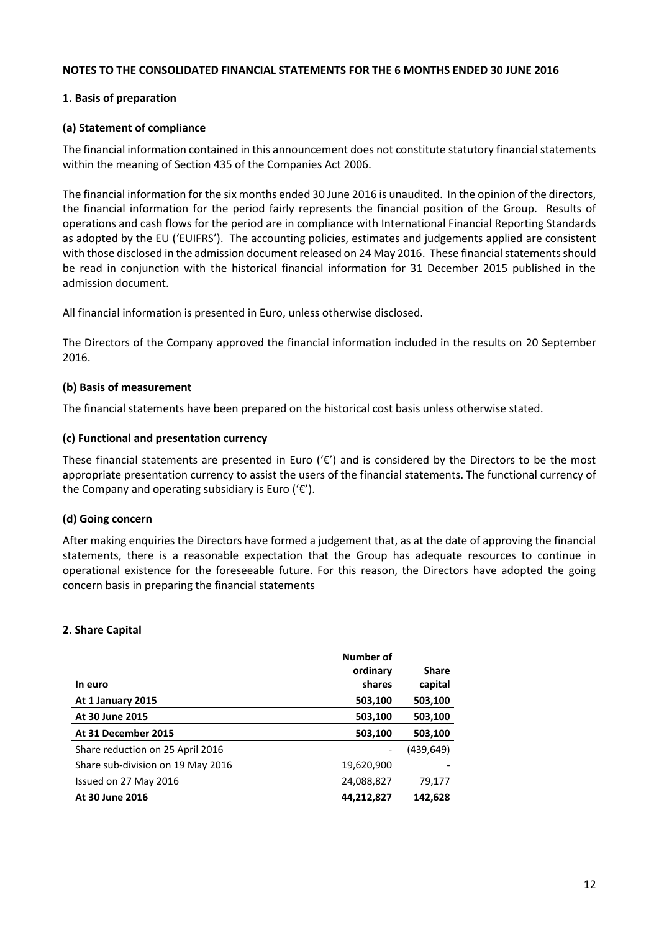#### **NOTES TO THE CONSOLIDATED FINANCIAL STATEMENTS FOR THE 6 MONTHS ENDED 30 JUNE 2016**

# **1. Basis of preparation**

## **(a) Statement of compliance**

The financial information contained in this announcement does not constitute statutory financial statements within the meaning of Section 435 of the Companies Act 2006.

The financial information for the six months ended 30 June 2016 is unaudited. In the opinion of the directors, the financial information for the period fairly represents the financial position of the Group. Results of operations and cash flows for the period are in compliance with International Financial Reporting Standards as adopted by the EU ('EUIFRS'). The accounting policies, estimates and judgements applied are consistent with those disclosed in the admission document released on 24 May 2016. These financial statements should be read in conjunction with the historical financial information for 31 December 2015 published in the admission document.

All financial information is presented in Euro, unless otherwise disclosed.

The Directors of the Company approved the financial information included in the results on 20 September 2016.

## **(b) Basis of measurement**

The financial statements have been prepared on the historical cost basis unless otherwise stated.

## **(c) Functional and presentation currency**

These financial statements are presented in Euro ( $\mathcal{C}$ ) and is considered by the Directors to be the most appropriate presentation currency to assist the users of the financial statements. The functional currency of the Company and operating subsidiary is Euro (' $\varepsilon$ ').

# **(d) Going concern**

After making enquiries the Directors have formed a judgement that, as at the date of approving the financial statements, there is a reasonable expectation that the Group has adequate resources to continue in operational existence for the foreseeable future. For this reason, the Directors have adopted the going concern basis in preparing the financial statements

#### **2. Share Capital**

|                                   | Number of  |              |
|-----------------------------------|------------|--------------|
|                                   | ordinary   | <b>Share</b> |
| In euro                           | shares     | capital      |
| At 1 January 2015                 | 503,100    | 503,100      |
| At 30 June 2015                   | 503,100    | 503,100      |
| At 31 December 2015               | 503,100    | 503,100      |
| Share reduction on 25 April 2016  |            | (439, 649)   |
| Share sub-division on 19 May 2016 | 19,620,900 |              |
| Issued on 27 May 2016             | 24,088,827 | 79,177       |
| At 30 June 2016                   | 44,212,827 | 142.628      |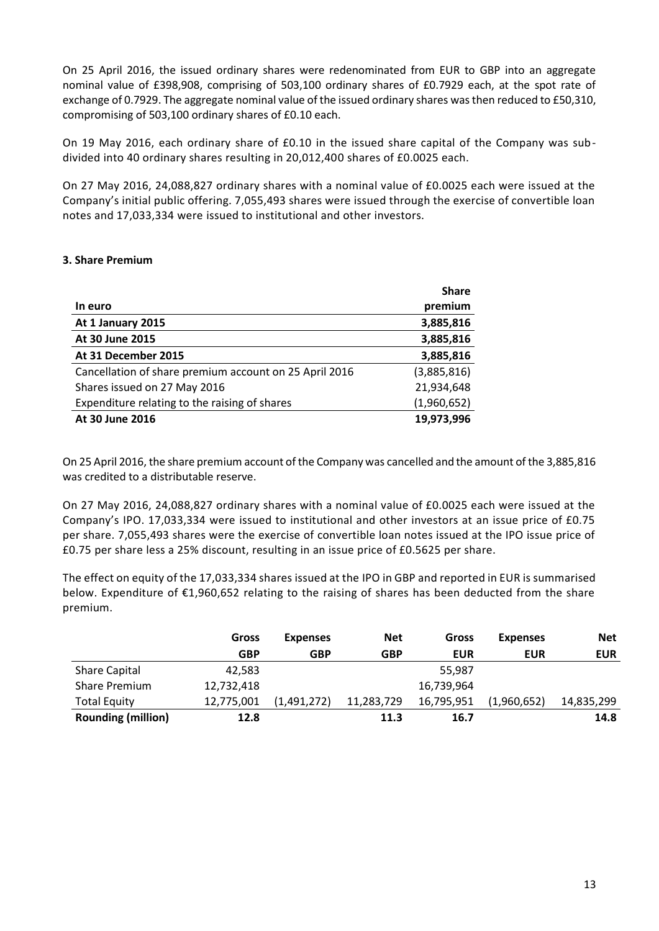On 25 April 2016, the issued ordinary shares were redenominated from EUR to GBP into an aggregate nominal value of £398,908, comprising of 503,100 ordinary shares of £0.7929 each, at the spot rate of exchange of 0.7929. The aggregate nominal value of the issued ordinary shares was then reduced to £50,310, compromising of 503,100 ordinary shares of £0.10 each.

On 19 May 2016, each ordinary share of £0.10 in the issued share capital of the Company was subdivided into 40 ordinary shares resulting in 20,012,400 shares of £0.0025 each.

On 27 May 2016, 24,088,827 ordinary shares with a nominal value of £0.0025 each were issued at the Company's initial public offering. 7,055,493 shares were issued through the exercise of convertible loan notes and 17,033,334 were issued to institutional and other investors.

## **3. Share Premium**

|                                                        | <b>Share</b> |
|--------------------------------------------------------|--------------|
| In euro                                                | premium      |
| At 1 January 2015                                      | 3,885,816    |
| At 30 June 2015                                        | 3,885,816    |
| At 31 December 2015                                    | 3,885,816    |
| Cancellation of share premium account on 25 April 2016 | (3,885,816)  |
| Shares issued on 27 May 2016                           | 21,934,648   |
| Expenditure relating to the raising of shares          | (1,960,652)  |
| At 30 June 2016                                        | 19,973,996   |

On 25 April 2016, the share premium account of the Company was cancelled and the amount of the 3,885,816 was credited to a distributable reserve.

On 27 May 2016, 24,088,827 ordinary shares with a nominal value of £0.0025 each were issued at the Company's IPO. 17,033,334 were issued to institutional and other investors at an issue price of £0.75 per share. 7,055,493 shares were the exercise of convertible loan notes issued at the IPO issue price of £0.75 per share less a 25% discount, resulting in an issue price of £0.5625 per share.

The effect on equity of the 17,033,334 shares issued at the IPO in GBP and reported in EUR is summarised below. Expenditure of €1,960,652 relating to the raising of shares has been deducted from the share premium.

|                           | Gross      | <b>Expenses</b> | <b>Net</b> | Gross      | <b>Expenses</b> | <b>Net</b> |
|---------------------------|------------|-----------------|------------|------------|-----------------|------------|
|                           | <b>GBP</b> | <b>GBP</b>      | GBP        | <b>EUR</b> | <b>EUR</b>      | <b>EUR</b> |
| <b>Share Capital</b>      | 42.583     |                 |            | 55,987     |                 |            |
| Share Premium             | 12,732,418 |                 |            | 16,739,964 |                 |            |
| <b>Total Equity</b>       | 12,775,001 | (1,491,272)     | 11,283,729 | 16,795,951 | (1,960,652)     | 14,835,299 |
| <b>Rounding (million)</b> | 12.8       |                 | 11.3       | 16.7       |                 | 14.8       |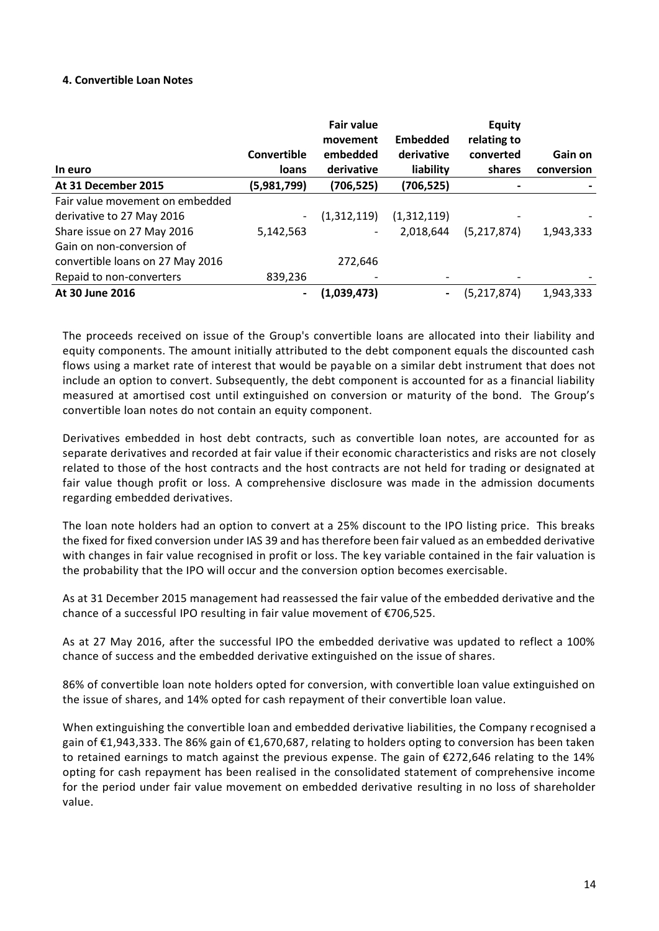#### **4. Convertible Loan Notes**

| In euro                          | Convertible<br>loans         | <b>Fair value</b><br>movement<br>embedded<br>derivative | <b>Embedded</b><br>derivative<br>liability | <b>Equity</b><br>relating to<br>converted<br>shares | Gain on<br>conversion |
|----------------------------------|------------------------------|---------------------------------------------------------|--------------------------------------------|-----------------------------------------------------|-----------------------|
| At 31 December 2015              | (5,981,799)                  | (706,525)                                               | (706,525)                                  | $\qquad \qquad \blacksquare$                        |                       |
| Fair value movement on embedded  |                              |                                                         |                                            |                                                     |                       |
| derivative to 27 May 2016        | $\qquad \qquad \blacksquare$ | (1,312,119)                                             | (1,312,119)                                |                                                     |                       |
| Share issue on 27 May 2016       | 5,142,563                    | $\overline{\phantom{a}}$                                | 2,018,644                                  | (5,217,874)                                         | 1,943,333             |
| Gain on non-conversion of        |                              |                                                         |                                            |                                                     |                       |
| convertible loans on 27 May 2016 |                              | 272,646                                                 |                                            |                                                     |                       |
| Repaid to non-converters         | 839,236                      |                                                         |                                            |                                                     |                       |
| At 30 June 2016                  | $\qquad \qquad \blacksquare$ | (1,039,473)                                             | $\blacksquare$                             | (5, 217, 874)                                       | 1,943,333             |

The proceeds received on issue of the Group's convertible loans are allocated into their liability and equity components. The amount initially attributed to the debt component equals the discounted cash flows using a market rate of interest that would be payable on a similar debt instrument that does not include an option to convert. Subsequently, the debt component is accounted for as a financial liability measured at amortised cost until extinguished on conversion or maturity of the bond. The Group's convertible loan notes do not contain an equity component.

Derivatives embedded in host debt contracts, such as convertible loan notes, are accounted for as separate derivatives and recorded at fair value if their economic characteristics and risks are not closely related to those of the host contracts and the host contracts are not held for trading or designated at fair value though profit or loss. A comprehensive disclosure was made in the admission documents regarding embedded derivatives.

The loan note holders had an option to convert at a 25% discount to the IPO listing price. This breaks the fixed for fixed conversion under IAS 39 and has therefore been fair valued as an embedded derivative with changes in fair value recognised in profit or loss. The key variable contained in the fair valuation is the probability that the IPO will occur and the conversion option becomes exercisable.

As at 31 December 2015 management had reassessed the fair value of the embedded derivative and the chance of a successful IPO resulting in fair value movement of €706,525.

As at 27 May 2016, after the successful IPO the embedded derivative was updated to reflect a 100% chance of success and the embedded derivative extinguished on the issue of shares.

86% of convertible loan note holders opted for conversion, with convertible loan value extinguished on the issue of shares, and 14% opted for cash repayment of their convertible loan value.

When extinguishing the convertible loan and embedded derivative liabilities, the Company recognised a gain of €1,943,333. The 86% gain of €1,670,687, relating to holders opting to conversion has been taken to retained earnings to match against the previous expense. The gain of €272,646 relating to the 14% opting for cash repayment has been realised in the consolidated statement of comprehensive income for the period under fair value movement on embedded derivative resulting in no loss of shareholder value.